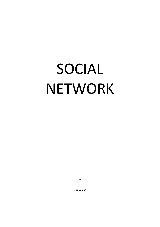# SOCIAL NETWORK

Di

Luca Varone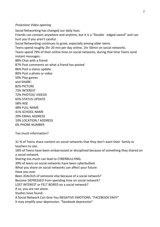#### *Proiezione Video opening*

Social Networking has changed our daily lives. Friends can connect anywhere and anytime, but it is a "Double - edged sword" and can hurt you if you aren't careful. Social Networking continues to grow, especially among older teens. Teens spend roughly 2hr 20 min per day online, 1hr 50min on social networks. Teens spend 79% of their online time on social networks, during that time Teens send instant messages: 88% Chat with a friend 87% Post comments on what a friend has posted 86% Post a status update 80% Post a photo or video 50% Play games and SHARE: 82% PICTURE 73% INTEREST 72% PHOTOS/ VIDEOS 65% STATUS UPDATE 58% AGE 48% FULL NAME 41% SCHOOL NAME 29% EMAIL ADDRESS 10% LOCATION / ADDRESS 6% PHONE NUMBER

Too much information?

31 % of Teens share content on social networks that they don't want their family or teachers to see..

18% of Teens have been embarrassed or disciplined because of something they shared on a social network.

Sharing too much can lead to CYBERBULLYING.

39% of teens on social networks have been cyberbullied.

What you share on social networks can affect your future:

Have you ever

Been JEALOUS of someone else because of a social network?

Become DEPRESSED from spending time on social network?

LOST INTEREST or FELT BORED on a social network?

If so, you are not alone.

Studies have found:

A Social Network Can Give You NEGATIVE EMOTIONS. "FACEBOOK ENVY"

It may amplify your depression. "facebook depression"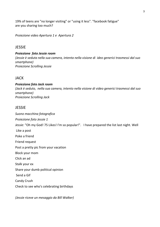19% of teens are "no longer visiting" or "using it less". "facebook fatigue" are you sharing too much?

*Proiezione video Apertura 1 e Apertura 2* 

## **JESSIE**

*Proiezione foto Jessie room (Jessie è seduta nella sua camera, intenta nella visione di ideo generici trasmessi dal suo smartphone) Proiezione Scrolling Jessie* 

## JACK

*Proiezione foto Jack room (Jack è seduto, nella sua camera, intento nella visione di video generici trasmessi dal suo smartphone) Proiezione Scrolling Jack* 

# **JESSIE**

*Suono macchina fotografica Proiezione foto Jessie 1*  Jessie: "Oh my God! 75 Likes! I'm so popular!". I have prepared the list last night. Well Like a post Poke a friend Friend request Post a pretty pic from your vacation Block your mom Click an ad Stalk your ex Share your dumb political opinion Send a Gif Candy Crush Check to see who's celebrating birthdays

*(Jessie riceve un mesaggio da Bill Walker)*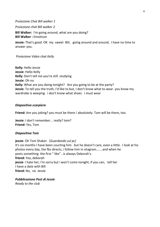*Proiezione Chat Bill walker 1*

*Proiezione chat Bill walker 2*

**Bill Walker:** I'm going around, what are you doing? **Bill Walker :** Emoticon

**Jessie:** That's good OK my sweet Bill, going around and around, I have no time to answer you.

 *Proiezione Video chat Kelly*

**Kelly:** Hello Jessie **Jessie**: Hello Kelly **Kelly:** Don't tell me you're still studying **Jessie**: Oh no **Kelly:** What are you doing tonight? Are you going to be at the party? **Jessie**: To tell you the truth, I'd like to but, I don't know what to wear. you know my wardrobe is weeping i don't know what shoes i must wear

#### *Diapositiva scarpiera*

**Friend:** Are you joking? you must be there.! absolutely. Tom will be there, too.

**Jessie**: I don't remember... really? tom? **Friend:** Yes, Tom

#### *Diapositiva Tom*

**jessie**: Oh Tom Shaker. (*Guardando sul pc)*  It's six months I have been courting him but he doesn't care, even a little. I look at his photos every day, the fbs directs, i follow him in istagram.......and when he posts something the first " like" ..is always Deborah's. **friend:** Yea, deborah **jessie**: I hate her; I'm sorry but i won't come tonight; if you can, tell her I have a date with Bill **friend:** No, no Jessie

*Pubblicazione Post di Jessie Ready to the club*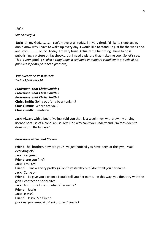## JACK

#### *Suono sveglia*

**Jack:** oh my God…………. I can't move at all today. i'm very tired. i'd like to sleep again. I don't know why I have to wake up every day. I would like to stand up just for the week end and stop…………..oh no Today I'm very busy. Actually the first thing I have to do is pubblishing a picture on facebook….but I need a picture that make me cool. So let's see. This is very good *( Si alza e raggiunge la scrivania in maniera claudicante si siede al pc, pubblica il primo post della giornata)*

#### *Pubblicazione Post di Jack Today I feel very fit*

*Proiezione chat Chriss Smith 1 Proiezione chat Chriss Smith 2 Proiezione chat Chriss Smith 3*  **Chriss Smith:** Going out for a beer tonight? **Chriss Smith**: Where are you? **Chriss Smith:** Emoticon

**Jack:** Always with a beer, I've just told you that last week they withdrew my driving licence because of alcohol abuse. My God why can't you understand I 'm forbidden to drink within thirty days?

#### *Proiezione video chat Steven*

**Friend:** hei brother, how are you? i've just noticed you have been at the gym. Was everyting ok? **Jack:** Yes great **Friend:** are you fine? **Jack:** Yes I am. **Friend:** I knew a very pretty girl on fb yesterday but I don't tell you her name. **Jack:** Come on! **Friend:** To give you a chance I could tell you her name, in this way you don't try with the girls I contact on social sites. **Jack:** And...... tell me..... what's her name? **Friend:** Jessie **Jack:** Jessie? **Friend:** Jessie Mc Queen *(Jack nel frattempo è già sul profilo di Jessie )*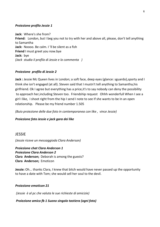#### *Proiezione profilo Jessie 1*

**Jack:** Where's she from? **Friend:** London, but I beg you not to try with her and above all, please, don't tell anything to Samantha **Jack:** Noooo. Be calm. I 'll be silent as a fish **Friend** I must greet you now.bye **Jack:** bye *(Jack studia il profilo di Jessie e lo commenta )*

## *Proiezione profilo di Jessie 2*

**Jack :** Jessie Mc Queen lives in London; a soft face, deep eyes (glance: sguardo), sporty and I think she isn't engaged (at all). Steven said that I mustn't tell anything to Samantha,his girlfriend. Ok I agree but everything has a price,it's to say nobody can deny the possibility to approach her,including Steven too. Friendship request Ohhh wonderfull When I see a girl I like, I shoot right from the hip I send I note to see If she wants to be In an open relationship. Please be my friend number 1.505

*(Buio proiezione delle due foto in contemporanea con like , vince Jessie)* 

*Proiezione foto Jessie e jack gara dei like* 

# **JESSIE**

*(Jessie riceve un messaggioda Clara Anderson)* 

*Proiezione chat Clara Anderson 1 Proiezione Clara Anderson 2*  **Clara Anderson;** Deborah is among the guests? **Clara Anderson;** Emoticon

**Jessie:** Oh... thanks Clara, I knew that bitch would have never passed up the opportunity to have a date with Tom; she would sell her soul to the devil.

## *Proiezione emoticon 21*

 *(Jessie è al pc che valuta le sue richieste di amicizie)* 

 *Proiezione amico fb 1 Suono singolo tastiera (ogni foto)*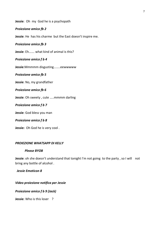**Jessie**: Oh my God he is a psychopath

#### *Proiezione amico fb 2*

**Jessie**: He has his charme but the East doesn't inspire me.

#### *Proiezione amico fb 3*

**Jessie**: Eh……. what kind of animal is this?

#### *Proiezione amico f b 4*

**Jessie**:Mmmmm disgusting……..eewwwww

#### *Proiezione amico fb 5*

**Jessie**: No, my grandfather

#### *Proiezione amico fb 6*

**Jessie**: Oh sweety , cute …..mmmm darling

#### *Proiezione amico f b 7*

**Jessie**: God bless you man

#### *Proiezione amico f b 8*

**Jessie:** Oh God he is very cool .

#### *PROIEZIONE WHATSAPP DI KELLY*

#### *Please BYOB*

**Jessie**: oh she doesn't understand that tonight I'm not going to the party, so I will not bring any bottle of alcohol .

#### *Jessie Emoticon 8*

*Video proiezione notifica per Jessie* 

#### *Proiezione amico f b 9 (Jack)*

**Jessie**: Who is this loser ?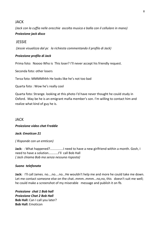## JACK

*(Jack con la cuffia nelle orecchie ascolta musica e balla con il cellulare in mano) Proiezione jack disco* 

# **JESSIE**

 *(Jessie visualizza dal pc la richiesta commentando il profilo di Jack)* 

#### *Proiezione profilo di Jack*

Prima foto: Noooo Who is This loser? I'll never accept his friendly request.

Seconda foto: other losers

Terza foto: MMMMhhh He looks like he's not too bad

Quarta foto : Wow he's really cool

Quarta foto: Strange. looking at this photo I'd have never thought he could study in Oxford. May be he is an emigrant mafia member's son. I'm willing to contact him and realize what kind of guy he is.

## JACK

#### *Proiezione video chat Freddie*

#### *Jack: Emoticon 21*

*( Risponde con un emticon)*

**Jack:** : What happened?...............I need to have a new girlfriend within a month. Gosh, I need to have a solution…………I'll call Bob Hall *( Jack chiama Bob ma senza nessuna risposta)* 

#### *Suono telefonata*

Jack: I'll call James. no....no....no...He wouldn't help me and more he could take me down. Let me contact someone else on the chat..mmm..mmm...no,no, this doesn't suit me well: he could make a screenshot of my miserable message and publish it on fb.

*Proiezione chat 1 Bob hall Proiezione Chat 2 Bob Hall*  **Bob Hall:** Can I call you later? **Bob Hall:** Emoticon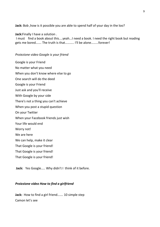**Jack:** Bob ,how is it possible you are able to spend half of your day in the loo?

**Jack:**Finally I have a solution .

 I must find a book about this....yeah...I need a book. I need the right book but reading gets me bored……. The truth is that……….. I'll be alone………forever!

#### *Proiezione video Google is your friend*

Google is your Friend No matter what you need When you don't know where else to go One search will do the deed Google is your Friend Just ask and you'll receive With Google by your side There's not a thing you can't achieve When you post a stupid question On your Twitter When your Facebook friends just wish Your life would end Worry not! We are here We can help, make it clear That Google is your friend! That Google is your friend! That Google is your friend!

Jack: Yes Google ..... Why didn't I think of it before.

#### *Proiezione video How to find a girlfriend*

**Jack:** How to find a girl friend……. 10 simple step Camon let's see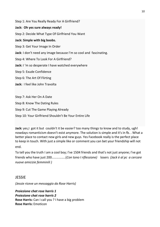Step 1: Are You Really Ready For A Girlfriend?

#### **Jack: Oh yes sure always ready!**

Step 2: Decide What Type Of Girlfriend You Want

#### **Jack: Simple with big boobs.**

Step 3: Get Your Image In Order

**Jack**: I don't need any image because I'm so cool and fascinating.

Step 4: Where To Look For A Girlfriend?

**Jack:** I 'm so desperate I have watched everywhere

Step 5: Exude Confidence

Step 6: The Art Of Flirting

**Jack:** I feel like John Travolta

Step 7: Ask Her On A Date

Step 8: Know The Dating Rules

Step 9: Cut The Game Playing Already

Step 10: Your Girlfriend Shouldn't Be Your Entire Life

**Jack:** yes, got it but couldn't it be easier? too many things to know and to study, ugh! nowdays romanticism doesn't exist anymore. The solution is simple and it's in fb. . What a better place to contact new girls and new guys. Yes Facebook really is the perfect place to keep in touch. With just a simple like or comment you can bet your friendship will not end.

To tell you the truth I am a cool boy; I've 1504 friends and that's not just anyone; I've got friends who have just 200……………..(*Con tono I riflessione)* losers *(Jack è al pc a cercare nuove amicizie femminili )* 

# **JESSIE**

*(Jessie riceve un messaggio da Rose Harris)* 

*Proiezione chat rose harris 1 Proiezione chat rose harris 2*  **Rose Harris:** Can I call you ? I have a big problem **Rose Harris:** Emoticon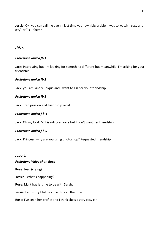**Jessie:** OK. you can call me even if last time your own big problem was to watch " sexy and city" or " x - factor"

# JACK

## *Proiezione amica fb 1*

Jack: Interesting but I'm looking for something different but meanwhile I'm asking for your friendship.

## *Proiezione amica fb 2*

**Jack:** you are kindly unique and I want to ask for your friendship.

## *Proiezione amica fb 3*

**Jack:** red passion and friendship recall

#### *Proiezione amica f b 4*

**Jack:** Oh my God. Milf is riding a horse but I don't want her friendship.

## *Proiezione amica f b 5*

Jack: Princess, why are you using photoshop? Requested friendship

## **JESSIE**

#### *Proiezione Video chat Rose*

**Rose:** Jessi (crying)

**Jessie:** What's happening?

**Rose:** Mark has left me to be with Sarah.

**Jessie:** I am sorry I told you he flirts all the time

**Rose:** I've seen her profile and I think she's a very easy girl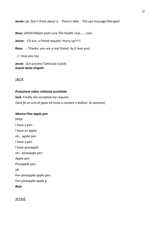**Jessie:**:ok. Don't think about it. There's Albe The spa massage therapist

**Rose:** ahhhh!Albert yeah sure The health club…….cool

Jessie: Fill out a friend request. Hurry up!!!!!!

**Rose:** :. Thanks; you are a real friend. Ily (I love you)

J: I love you too

*Jessie (Lei accetta l'amicizia a jack) Suono tasto singolo* 

JACK

#### *Proiezione video richiesta accettata*

**Jack:** Finally she accepted my request. *(Jack fa un urlo di gioia ed inizia a cantare e ballare la canzone)* 

# *Musica Pine apple pen*

PPAP I have a pen I have an apple oh… apple pen I have a pen I have pineapple oh… pineapple pen Apple pen Pineapple pen oh. Pen pineapple apple pen Pen pineapple apple p *Buio* 

**JESSIE**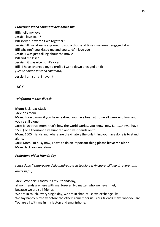## *Proiezione video chiamata dell'amico Bill*

**Bill:** hello my love **Jessie**: love to....? **Bill** sorry, but weren't we together? **Jessie**:Bill I've already explaned to you a thousand times we aren't engaged at all **Bill** why not? you kissed me and you said:" I love you **Jessie**: I was just talking about the movie **Bill** and the kiss? **Jessie**: : it was nice but it's over. **Bill** : I have changed my fb profile I write down engaged on fb *( Jessie chiude la video chiamata)* 

**Jessie**: I am sorry, I haven't

JACK

# *Telefonata madre di Jack*

**Mom:** Jack...Jack,Jack

**Jack:** Yes mom.

**Mom:** I don't know if you have realized you have been at home all week end long and you're still alone.

**Jack:** it isn't true mom. that's how the world works.. you know, now I....I.....now..I have 1505 ( one thousand five hundred and five) friends on fb.

**Mom:** 1505 friends and where are they? lately the only thing you have done is to stand alone.

**Jack:** Mom I'm busy now, I have to do an important thing **please leave me alone Mom:** Jack you are alone

## *Proiezione video friends day*

*( Jack dopo il rimprovero della madre sale su tavolo e si rincuora all'idea di avere tanti amici su fb )* 

Jack: Wonderful today it's my friendsday,

all my friends are here with me, forever. No matter who we never met,

because we are still friends.

We are in touch, every single day, we are in chat cause we exchange like.

We say happy birthday before the others remember us. Your friends make who you are . You are all with me in my laptop and smartphone.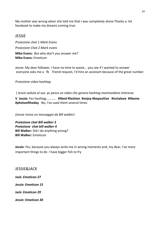My mother was wrong when she told me that I was completely alone.Thanks a lot facebook to make my dreams coming true.

#### **JESSIE**

*Proiezione chat 1 Mark Evans Proiezione Chat 2 Mark evans*  **Mike Evans:** But why don't you answer me? **Mike Evans:** Emoticon

Jessie: My dear follower, I have no time to waste... you see if I wanted to answer everyone asks me a fb friend request, I'd hire an assistant because of the great number.

*Proiezione video hashtag* 

 *( Jessie seduta al suo pc pesca un video che genera hashtag mostrandone interesse* 

**V Jessie:** Yes Hashtag………… **#liked #fashion #enjoy #bepositive #instalove #likeme #photooftheday** No, I've used them several times

*(Jessie riceve un messaggio da Bill walker)* 

*Proiezione chat Bill walker 3 Proiezione chat bill walker 4*  **Bill Walker:** Did I do anything wrong? **Bill Walker:** Emoticon

**Jessie:** Yes, because you always write me in wrong moments and, my dear, I've more important things to do I have bigger fish to fry

JESSIE&JACK

**Jack:** *Emoticon 27* 

*Jessie: Emoticon 15* 

**Jack:** *Emoticon 29* 

*Jessie: Emoticon 30*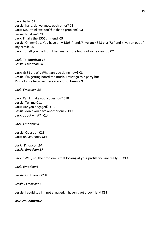**Jack:** hallo **C1 Jessie:** hallo, do we know each other? **C2 Jack:** No, I think we don't! Is that a problem? **C3 Jessie:** No it isn't **C4 Jack:** Finally the 1505th friend **C5 Jessie:** Oh my God. You have only 1505 friends? I've got 4828 plus 72 ( and ) I've run out of my profile **C6 Jack:** To tell you the truth I had many more but I did some cleanup **C7**

#### *Jack:* To *Emoticon 17 Jessie: Emoticon 20*

**Jack:** Gr8 ( great) . What are you doing now? C8 **Jessie:** I'm getting bored too much. I must go to a party but I'm not sure because there are a lot of losers C9

## *Jack Emoticon 13*

**Jack:** Can I make you a question? C10 **Jessie:** Tell me C11 **Jack:** Are you engaged? C12 **Jessie:** don't you have another one? **C13 Jack:** about what? **C14** 

#### *Jack: Emoticon 4*

**Jessie:** Question **C15 Jack:** oh yes, sorry **C16**

*Jack: Emoticon 24 Jessie: Emoticon 17* 

**Jack:** : Well, no, the problem is that looking at your profile you are really..... **C17**

#### *Jack: Emoticon5*

**Jessie:** Oh thanks **C18**

#### *Jessie : Emoticon7*

**Jessie:** I could say I'm not engaged, I haven't got a boyfriend **C19** 

#### *Musica Bombastic*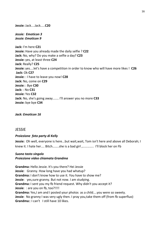**Jessie:** Jack....Jack.....**C20**

*Jessie: Emoticon 3 Jessie: Emoticon 9* 

**Jack:** I'm here **C21 Jessie:** Have you already made the daily selfie ? **C22 Jack:** No, why? Do you make a selfie a day? **C23 Jessie:** yes, at least three **C24 Jack:** Really? **C25 Jessie:** yes....let's have a competition in order to know who will have more likes ! **C26 Jack:** Ok **C27 Jessie:** : I have to leave you now! **C28 Jack:** No, come on **C29 Jessie:** : Bye **C30 Jack:** : No **C31 Jessie:** Yes **C32 Jack:** No, she's going away....... I'll answer you no more **C33 Jessie:** bye bye **C34**

*Jack: Emoticon 16* 

## **JESSIE**

#### *Proiezione foto party di Kelly*

**Jessie:** Oh well, everyone is here...but wait, wait, Tom isn't here and above all Deborah; I knew it. I hate her.... Bitch……..she is a bad girl ,………….. I'll block her on Fb

#### *Suono tasto singolo Proiezione video chiamata Grandma*

**Grandma:** Hello Jessie. It's you there? Hei Jessie **Jessie**: Granny. How long have you had whatup? **Grandma:** I don't know how to use it. You have to show me? **Jessie**: yes,sure granny. But not now. I am studying. **Grandma:** I sent you my fb friend request. Why didn't you accept it? **Jessie**: : are you on fb, too?!!!! **Grandma:** Yes,I am and I posted your photos as a child....you were so sweety. **Jessie**: No granny I was very ugly then. I pray you, take them off (from fb superfluo) **Grandma:**: I can't I still have 10 likes.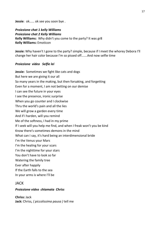**Jessie**: ok…… ok see you soon bye .

*Proiezione chat 1 kelly Williams Proiezione chat 2 Kelly Williams*  **Kelly Williams:** Why didn't you come to the party? It was gr8 **Kelly Williams:** Emoticon

**Jessie:** Why haven't I gone to the party? simple, because if I meet the whorey Debora I'll change her hair color because I'm so pissed off…….And now selfie time

## *Proiezione video Selfie lei*

**Jessie:** Sometimes we fight like cats and dogs But here we are giving it our all So many years in the making, but then forsaking, and forgetting Even for a moment, I am not betting on our demise I can see the future in your eyes I see the presence, ironic surprise When you go counter and I clockwise Thru the world's pain and all the lies We will grow a garden every time And if I harden, will you remind Me of the softness, I had in my prime If I seek will you help me find, and when I freak won't you be kind Know there's sometimes demons in the mind What can I say, it's hard being an interdimensional bride I'm the Venus your Mars I'm the healing for your scars I'm the nighttime for your stars You don't have to look so far Watering the family tree Ever after happily If the Earth falls to the sea In your arms is where I'll be

## **JACK**

## *Proiezione video chiamata Chriss*

**Chriss:** Jack **Jack:** Chriss*, ( piccolissima pausa )* tell me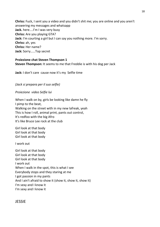**Chriss:** Fuck, I sent you a video and you didn't shit me; you are online and you aren't answering my messages and whatsapp **Jack.** here....I'm I was very busy **Chriss:** Are you playing GTA? **Jack:** I'm courting a girl but I can say you nothing more. I'm sorry. **Chriss:** ah, yes **Chriss:** Her name? **Jack:** Sorry……Top secret

## **Proiezione chat Steven Thompson 1 Steven Thompson:** It seems to me that Freddie is with his dog per Jack

**Jack:** I don't care cause now it's my Selfie time

*(Jack si prepara per il suo selfie)* 

*Proiezione video Selfie lui* 

When I walk on by, girls be looking like damn he fly I pimp to the beat, Walking on the street with in my new lafreak, yeah This is how I roll, animal print, pants out control, It's redfoo with the big Afro It's like Bruce Lee rock at the club

Girl look at that body Girl look at that body Girl look at that body

I work out

Girl look at that body Girl look at that body Girl look at that body I work out When I walk in the spot, this is what I see Everybody stops and they staring at me I got passion in my pants And I ain't afraid to show it (show it, show it, show it) I'm sexy and I know it I'm sexy and I know it

**JESSIE**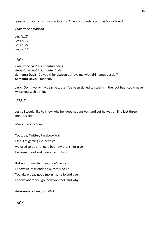*(Jessie prova a chattare con Jack ma lui non risponde. Canta la Social Song)* 

*Proiezione emoticon* 

*Jessie:15 Jessie: 17 Jessie: 22 Jessie: 10* 

# **JACK**

*Proiezione chat 1 Samantha davis Proiezione chat 2 Samanta davis*  **Samanta Davis:** Do you think Steven betrays me with girl named Jessie ? **Samanta Davis:** Emoticon

**Jack:** Don't worry my dear because I 've been skilled to steal him the loot but I could never write you such a thing

# **JESSIE**

Jessie I would like to know why he does not answer, and yet he was on line just three minutes ago.

## *Musica social Song*

Youtube, Twitter, Facebook too I feel I'm getting closer to you we used to be strangers but now that's not true because I read and hear all about you

It does not matter if you don't reply I know we're friends now, that's no lie You always say good morning, hello and bye I know where you go, how you feel, and why.

## *Proiezione video gara Fb 2*

# JACK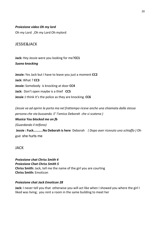#### *Proiezione video Oh my lord*

Oh my Lord ,Oh my Lord Oh mylord

# JESSIE&JACK

**Jack:** Hey Jessie were you looking for me?**CC1**  *Suono knocking* 

**Jessie:** Yes Jack but I have to leave you just a moment **CC2 Jack:** What ? **CC3 Jessie:** Somebody is knocking at door **CC4 Jack:** Don't open maybe is a thief **CC5 Jessie :**I think it's the police as they are knocking. **CC6**

*(Jessie va ad aprire la porta ma nel frattempo riceve anche una chiamata dalla stessa persona che sta bussando. E' l'amica Deborah che si scatena )* 

# *Musica You blocked me on fb*

*(Guardando il telfono)* 

**Jessie : Fuck………..No Deborah is here** Deborah *( Dopo aver ricevuto uno schiaffo )* Oh god she hurts me

## JACK

*Proiezione chat Chriss Smith 4 Proiezione Chat Chriss Smith 5*  **Chriss Smith:** Jack, tell me the name of the girl you are courting **Chriss Smith:** Emoticon

#### *Proiezione chat Jack Emoticon 28*

**Jack:** I never tell you that otherwise you will act like when I showed you where the girl I liked was living; you rent a room in the same building to meet her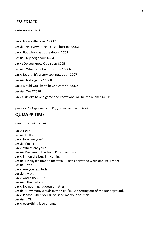## JESSIE&JACK

#### *Proiezione chat 3*

**Jack:** Is everything ok ? **CCC1 Jessie:** Yes every thing ok she hurt me;**CCC2 Jack:** But who was at the door? ? **CC3 Jessie:** My neighbour **CCC4 Jack** : Do you know Quizz app **CCC5 Jessie:** What is it? like Pokemon? **CCC6 Jack:** No ,no. It's a very cool new app **CCC7 Jessie:** Is it a game? **CCC8 Jack:** would you like to have a game? ( **CCC9 Jessie: Yes CCC10 Jack :** Ok let's have a game and know who will be the winner **CCC11**

*(Jessie e Jack giocano con l'app insieme al pubblico)* 

# **QUIZAPP TIME**

#### *Proiezione video Finale*

**Jack:** Hello **Jessie:** Hello **Jack:** How are you? **Jessie:** I'm ok **Jack:** Where are you? **Jessie:** I'm here in the train. I'm close to you **Jack:** I'm on the bus. I'm coming **Jessie:** Finally it's time to meet you. That's only for a while and we'll meet **Jessie:** : Yea **Jack:** Are you excited? **Jessie:** : A bit **Jack:** And if then.....? **Jessie:** : then what? **Jack:** No nothing. It doesn't matter **Jessie:** : How many clouds in the sky. I'm just getting out of the underground. **Jack:** Please when you arrive send me your position. **Jessie:** : Ok **Jack:** everything is so strange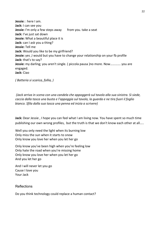**Jessie:** : here I am. **Jack:** I can see you **Jessie:** I'm only a few steps away from you. take a seat **Jack:** I've just sat down **Jessie:** What a beautiful place it is **Jack:** can I ask you a thing? **Jessie:** Tell me **Jack:** Would you like to be my girlfriend? **Jessie:** yes, I would but you have to change your relationship on your fb profile **Jack:** that's to say? **Jessie:** my darling; you aren't single. ( piccola pausa )no more. Now…………. you are engaged. **Jack:** Ciao

*( Batteria si scarica, follia, )* 

 *(Jack arriva in scena con una candela che appoggerà sul tavolo alla sua sinistra. Si siede, caccia dalla tasca una busta e l'appoggia sul tavolo, la guarda e ne tira fuori il foglio bianco. Sfila dalla sua tasca una penna ed inizia a scrivere)* 

**Jack:** Dear Jessie , I hope you can feel what I am living now. You have spent so much time publishing our own wrong profiles, but the truth is that we don't know each other at all…..

Well you only need the light when its burning low Only miss the sun when it starts to snow Only know you love her when you let her go

Only know you've been high when you're feeling low Only hate the road when you're missing home Only know you love her when you let her go And you let her go

And I will never let you go Cause I love you Your Jack

**Reflections** 

Do you think technology could replace a human contact?